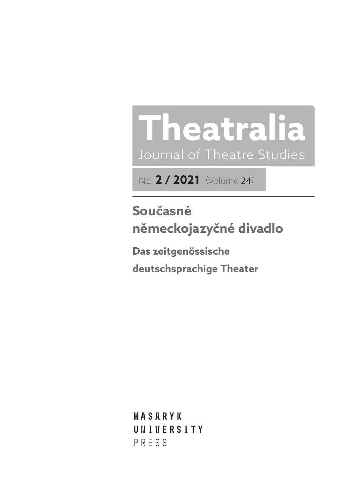# **Theatralia** Journal of Theatre Studies

No. **2 / 2021** (Volume 24)

**Současné německojazyčné divadlo**

**Das zeitgenössische deutschsprachige Theater** 

**Masaryk univerSitY** PRESS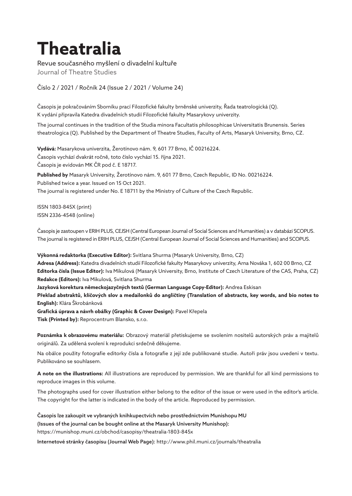# **Theatralia**

Revue současného myšlení o divadelní kultuře

Journal of Theatre Studies

Číslo 2 / 2021 / Ročník 24 (Issue 2 / 2021 / Volume 24)

Časopis je pokračováním Sborníku prací Filozofické fakulty brněnské univerzity, Řada teatrologická (Q). K vydání připravila Katedra divadelních studií Filozofické fakulty Masarykovy univerzity.

The journal continues in the tradition of the Studia minora Facultatis philosophicae Universitatis Brunensis. Series theatrologica (Q). Published by the Department of Theatre Studies, Faculty of Arts, Masaryk University, Brno, CZ.

**Vydává:** Masarykova univerzita, Žerotínovo nám. 9, 601 77 Brno, IČ 00216224. Časopis vychází dvakrát ročně, toto číslo vychází 15. října 2021. Časopis je evidován MK ČR pod č. E 18717.

**Published by** Masaryk University, Žerotínovo nám. 9, 601 77 Brno, Czech Republic, ID No. 00216224. Published twice a year. Issued on 15 Oct 2021. The journal is registered under No. E 18711 by the Ministry of Culture of the Czech Republic.

ISSN 1803-845X (print) ISSN 2336-4548 (online)

Časopis je zastoupen v ERIH PLUS, CEJSH (Central European Journal of Social Sciences and Humanities) a v databázi SCOPUS. The journal is registered in ERIH PLUS, CEJSH (Central European Journal of Social Sciences and Humanities) and SCOPUS.

**Výkonná redaktorka (Executive Editor):** Svitlana Shurma (Masaryk University, Brno, CZ)

**Adresa (Address):** Katedra divadelních studií Filozofické fakulty Masarykovy univerzity, Arna Nováka 1, 602 00 Brno, CZ **Editorka čísla (Issue Editor):** Iva Mikulová (Masaryk University, Brno, Institute of Czech Literature of the CAS, Praha, CZ) **Redakce (Editors):** Iva Mikulová, Svitlana Shurma

**Jazyková korektura německojazyčných textů (German Language Copy-Editor):** Andrea Eskisan

**Překlad abstraktů, klíčových slov a medailonků do angličtiny (Translation of abstracts, key words, and bio notes to English):** Klára Škrobánková

**Grafická úprava a návrh obálky (Graphic & Cover Design):** Pavel Křepela

**Tisk (Printed by):** Reprocentrum Blansko, s.r.o.

**Poznámka k obrazovému materiálu:** Obrazový materiál přetiskujeme se svolením nositelů autorských práv a majitelů originálů. Za udělená svolení k reprodukci srdečně děkujeme.

Na obálce použity fotografie editorky čísla a fotografie z její zde publikované studie. Autoři práv jsou uvedeni v textu. Publikováno se souhlasem.

**A note on the illustrations:** All illustrations are reproduced by permission. We are thankful for all kind permissions to reproduce images in this volume.

The photographs used for cover illustration either belong to the editor of the issue or were used in the editor's article. The copyright for the latter is indicated in the body of the article. Reproduced by permission.

Časopis lze zakoupit ve vybraných knihkupectvích nebo prostřednictvím Munishopu MU (Issues of the journal can be bought online at the Masaryk University Munishop):

https://munishop.muni.cz/obchod/casopisy/theatralia-1803-845x

Internetové stránky časopisu (Journal Web Page): http://www.phil.muni.cz/journals/theatralia